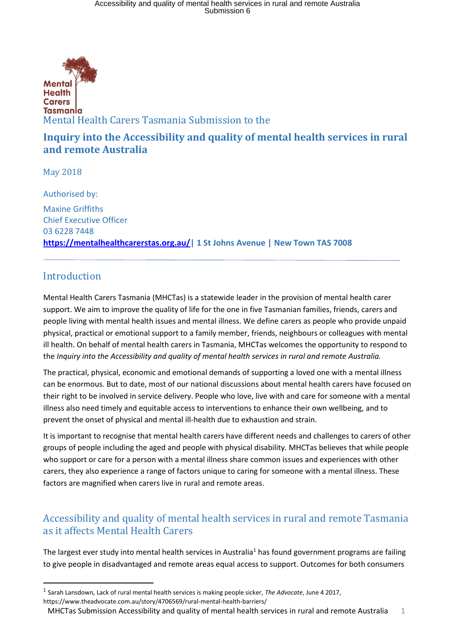

## **Inquiry into the Accessibility and quality of mental health services in rural and remote Australia**

May 2018

Authorised by: Maxine Griffiths Chief Executive Officer 03 6228 7448 **https://mentalhealthcarerstas.org.au/| 1 St Johns Avenue | New Town TAS 7008** 

# Introduction

1

Mental Health Carers Tasmania (MHCTas) is a statewide leader in the provision of mental health carer support. We aim to improve the quality of life for the one in five Tasmanian families, friends, carers and people living with mental health issues and mental illness. We define carers as people who provide unpaid physical, practical or emotional support to a family member, friends, neighbours or colleagues with mental ill health. On behalf of mental health carers in Tasmania, MHCTas welcomes the opportunity to respond to the *Inquiry into the Accessibility and quality of mental health services in rural and remote Australia.* 

The practical, physical, economic and emotional demands of supporting a loved one with a mental illness can be enormous. But to date, most of our national discussions about mental health carers have focused on their right to be involved in service delivery. People who love, live with and care for someone with a mental illness also need timely and equitable access to interventions to enhance their own wellbeing, and to prevent the onset of physical and mental ill-health due to exhaustion and strain.

It is important to recognise that mental health carers have different needs and challenges to carers of other groups of people including the aged and people with physical disability. MHCTas believes that while people who support or care for a person with a mental illness share common issues and experiences with other carers, they also experience a range of factors unique to caring for someone with a mental illness. These factors are magnified when carers live in rural and remote areas.

# Accessibility and quality of mental health services in rural and remote Tasmania as it affects Mental Health Carers

The largest ever study into mental health services in Australia<sup>1</sup> has found government programs are failing to give people in disadvantaged and remote areas equal access to support. Outcomes for both consumers

<sup>1</sup> Sarah Lansdown, Lack of rural mental health services is making people sicker, *The Advocate*, June 4 2017,

https://www.theadvocate.com.au/story/4706569/rural-mental-health-barriers/

MHCTas Submission Accessibility and quality of mental health services in rural and remote Australia 1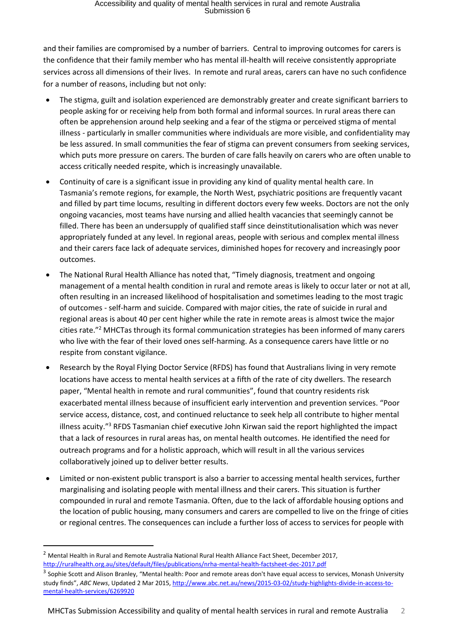and their families are compromised by a number of barriers. Central to improving outcomes for carers is the confidence that their family member who has mental ill-health will receive consistently appropriate services across all dimensions of their lives. In remote and rural areas, carers can have no such confidence for a number of reasons, including but not only:

- The stigma, guilt and isolation experienced are demonstrably greater and create significant barriers to people asking for or receiving help from both formal and informal sources. In rural areas there can often be apprehension around help seeking and a fear of the stigma or perceived stigma of mental illness - particularly in smaller communities where individuals are more visible, and confidentiality may be less assured. In small communities the fear of stigma can prevent consumers from seeking services, which puts more pressure on carers. The burden of care falls heavily on carers who are often unable to access critically needed respite, which is increasingly unavailable.
- Continuity of care is a significant issue in providing any kind of quality mental health care. In Tasmania's remote regions, for example, the North West, psychiatric positions are frequently vacant and filled by part time locums, resulting in different doctors every few weeks. Doctors are not the only ongoing vacancies, most teams have nursing and allied health vacancies that seemingly cannot be filled. There has been an undersupply of qualified staff since deinstitutionalisation which was never appropriately funded at any level. In regional areas, people with serious and complex mental illness and their carers face lack of adequate services, diminished hopes for recovery and increasingly poor outcomes.
- The National Rural Health Alliance has noted that, "Timely diagnosis, treatment and ongoing management of a mental health condition in rural and remote areas is likely to occur later or not at all, often resulting in an increased likelihood of hospitalisation and sometimes leading to the most tragic of outcomes - self-harm and suicide. Compared with major cities, the rate of suicide in rural and regional areas is about 40 per cent higher while the rate in remote areas is almost twice the major cities rate."<sup>2</sup> MHCTas through its formal communication strategies has been informed of many carers who live with the fear of their loved ones self-harming. As a consequence carers have little or no respite from constant vigilance.
- Research by the Royal Flying Doctor Service (RFDS) has found that Australians living in very remote locations have access to mental health services at a fifth of the rate of city dwellers. The research paper, "[Mental health in remote and rural communities](https://www.flyingdoctor.org.au/assets/documents/RN031_Mental_Health_D5.pdf)", found that country residents risk exacerbated mental illness because of insufficient early intervention and prevention services. "Poor service access, distance, cost, and continued reluctance to seek help all contribute to higher mental illness acuity."<sup>3</sup> RFDS Tasmanian chief executive John Kirwan said the report highlighted the impact that a lack of resources in rural areas has, on mental health outcomes. He identified the need for outreach programs and for a holistic approach, which will result in all the various services collaboratively joined up to deliver better results.
- Limited or non-existent public transport is also a barrier to accessing mental health services, further marginalising and isolating people with mental illness and their carers. This situation is further compounded in rural and remote Tasmania. Often, due to the lack of affordable housing options and the location of public housing, many consumers and carers are compelled to live on the fringe of cities or regional centres. The consequences can include a further loss of access to services for people with

**.** 

<sup>&</sup>lt;sup>2</sup> Mental Health in Rural and Remote Australia National Rural Health Alliance Fact Sheet, December 2017, <http://ruralhealth.org.au/sites/default/files/publications/nrha-mental-health-factsheet-dec-2017.pdf>

<sup>&</sup>lt;sup>3</sup> Sophie Scott and Alison Branley, "Mental health: Poor and remote areas don't have equal access to services, Monash University study finds", *ABC News*, Updated 2 Mar 2015, [http://www.abc.net.au/news/2015-03-02/study-highlights-divide-in-access-to](http://www.abc.net.au/news/2015-03-02/study-highlights-divide-in-access-to-mental-health-services/6269920)[mental-health-services/6269920](http://www.abc.net.au/news/2015-03-02/study-highlights-divide-in-access-to-mental-health-services/6269920)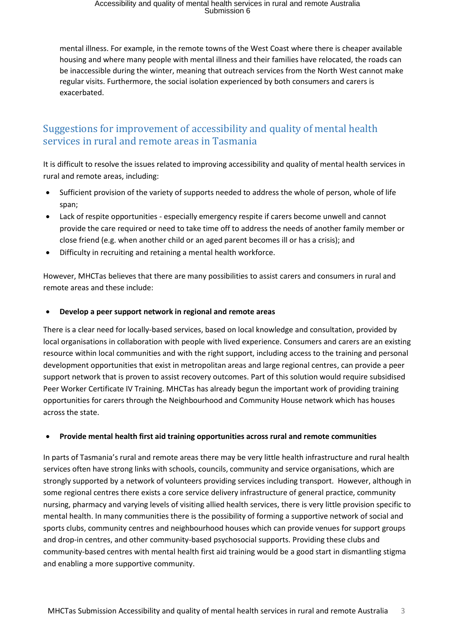mental illness. For example, in the remote towns of the West Coast where there is cheaper available housing and where many people with mental illness and their families have relocated, the roads can be inaccessible during the winter, meaning that outreach services from the North West cannot make regular visits. Furthermore, the social isolation experienced by both consumers and carers is exacerbated.

## Suggestions for improvement of accessibility and quality of mental health services in rural and remote areas in Tasmania

It is difficult to resolve the issues related to improving accessibility and quality of mental health services in rural and remote areas, including:

- Sufficient provision of the variety of supports needed to address the whole of person, whole of life span;
- Lack of respite opportunities especially emergency respite if carers become unwell and cannot provide the care required or need to take time off to address the needs of another family member or close friend (e.g. when another child or an aged parent becomes ill or has a crisis); and
- Difficulty in recruiting and retaining a mental health workforce.

However, MHCTas believes that there are many possibilities to assist carers and consumers in rural and remote areas and these include:

### **Develop a peer support network in regional and remote areas**

There is a clear need for locally-based services, based on local knowledge and consultation, provided by local organisations in collaboration with people with lived experience. Consumers and carers are an existing resource within local communities and with the right support, including access to the training and personal development opportunities that exist in metropolitan areas and large regional centres, can provide a peer support network that is proven to assist recovery outcomes. Part of this solution would require subsidised Peer Worker Certificate IV Training. MHCTas has already begun the important work of providing training opportunities for carers through the Neighbourhood and Community House network which has houses across the state.

### **Provide mental health first aid training opportunities across rural and remote communities**

In parts of Tasmania's rural and remote areas there may be very little health infrastructure and rural health services often have strong links with schools, councils, community and service organisations, which are strongly supported by a network of volunteers providing services including transport. However, although in some regional centres there exists a core service delivery infrastructure of general practice, community nursing, pharmacy and varying levels of visiting allied health services, there is very little provision specific to mental health. In many communities there is the possibility of forming a supportive network of social and sports clubs, community centres and neighbourhood houses which can provide venues for support groups and drop-in centres, and other community-based psychosocial supports. Providing these clubs and community-based centres with mental health first aid training would be a good start in dismantling stigma and enabling a more supportive community.